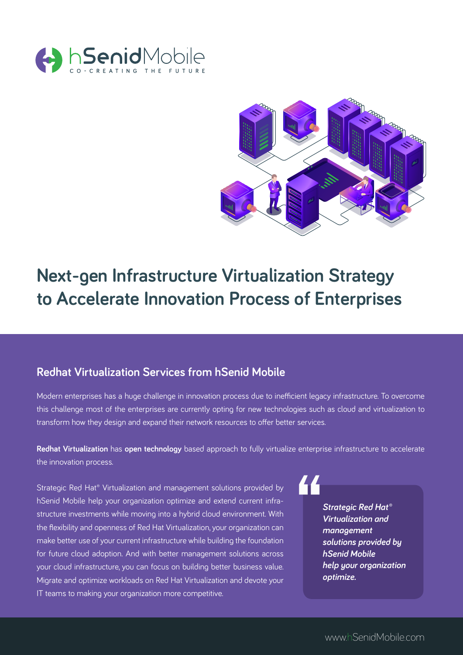



# **Next-gen Infrastructure Virtualization Strategy to Accelerate Innovation Process of Enterprises**

# **Redhat Virtualization Services from hSenid Mobile**

Modern enterprises has a huge challenge in innovation process due to inefficient legacy infrastructure. To overcome this challenge most of the enterprises are currently opting for new technologies such as cloud and virtualization to transform how they design and expand their network resources to offer better services.

**Redhat Virtualization** has **open technology** based approach to fully virtualize enterprise infrastructure to accelerate the innovation process.

Strategic Red Hat® Virtualization and management solutions provided by hSenid Mobile help your organization optimize and extend current infrastructure investments while moving into a hybrid cloud environment. With the flexibility and openness of Red Hat Virtualization, your organization can make better use of your current infrastructure while building the foundation for future cloud adoption. And with better management solutions across your cloud infrastructure, you can focus on building better business value. Migrate and optimize workloads on Red Hat Virtualization and devote your IT teams to making your organization more competitive.

*Strategic Red Hat® Virtualization and management solutions provided by hSenid Mobile help your organization optimize.*

44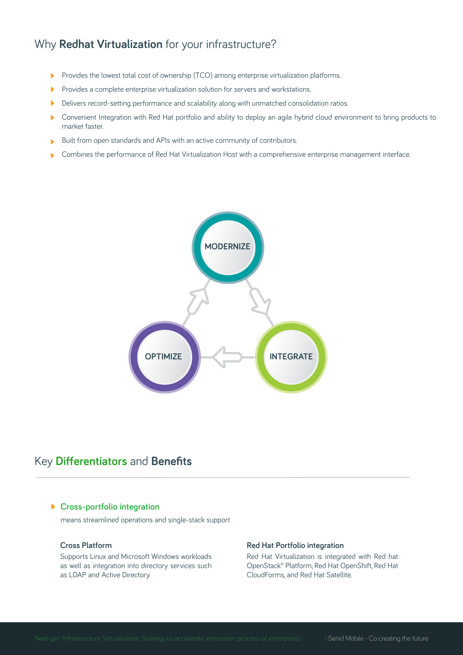# Why **Redhat Virtualization** for your infrastructure?

- Provides the lowest total cost of ownership (TCO) among enterprise virtualization platforms. ь
- Provides a complete enterprise virtualization solution for servers and workstations.
- Delivers record-setting performance and scalability along with unmatched consolidation ratios.  $\blacktriangleright$
- Convenient Integration with Red Hat portfolio and ability to deploy an agile hybrid cloud environment to bring products to market faster.
- Built from open standards and APIs with an active community of contributors. ь
- Combines the performance of Red Hat Virtualization Host with a comprehensive enterprise management interface.



# Key **Differentiators** and **Benefits**

# **Cross-portfolio integration**

means streamlined operations and single-stack support

### **Cross Platform**

Supports Linux and Microsoft Windows workloads as well as integration into directory services such as LDAP and Active Directory.

#### **Red Hat Portfolio integration**

Red Hat Virtualization is integrated with Red hat OpenStack® Platform, Red Hat OpenShift, Red Hat CloudForms, and Red Hat Satellite.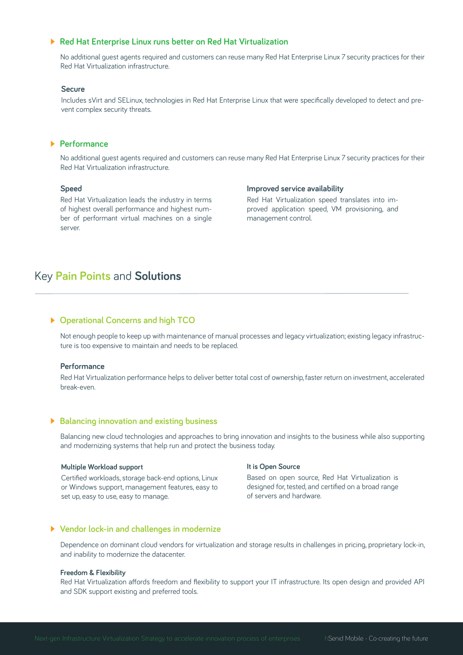## **Red Hat Enterprise Linux runs better on Red Hat Virtualization**

No additional guest agents required and customers can reuse many Red Hat Enterprise Linux 7 security practices for their Red Hat Virtualization infrastructure.

### **Secure**

Includes sVirt and SELinux, technologies in Red Hat Enterprise Linux that were specifically developed to detect and prevent complex security threats.

# **Performance**

No additional guest agents required and customers can reuse many Red Hat Enterprise Linux 7 security practices for their Red Hat Virtualization infrastructure.

#### **Speed**

Red Hat Virtualization leads the industry in terms of highest overall performance and highest number of performant virtual machines on a single server.

#### **Improved service availability**

Red Hat Virtualization speed translates into improved application speed, VM provisioning, and management control.

# Key **Pain Points** and **Solutions**

## **Operational Concerns and high TCO**

Not enough people to keep up with maintenance of manual processes and legacy virtualization; existing legacy infrastructure is too expensive to maintain and needs to be replaced.

#### **Performance**

Red Hat Virtualization performance helps to deliver better total cost of ownership, faster return on investment, accelerated break-even.

## **Balancing innovation and existing business**

Balancing new cloud technologies and approaches to bring innovation and insights to the business while also supporting and modernizing systems that help run and protect the business today.

#### **Multiple Workload support**

Certified workloads, storage back-end options, Linux or Windows support, management features, easy to set up, easy to use, easy to manage.

#### **It is Open Source**

Based on open source, Red Hat Virtualization is designed for, tested, and certified on a broad range of servers and hardware.

### **Vendor lock-in and challenges in modernize**

Dependence on dominant cloud vendors for virtualization and storage results in challenges in pricing, proprietary lock-in, and inability to modernize the datacenter.

#### **Freedom & Flexibility**

Red Hat Virtualization affords freedom and flexibility to support your IT infrastructure. Its open design and provided API and SDK support existing and preferred tools.